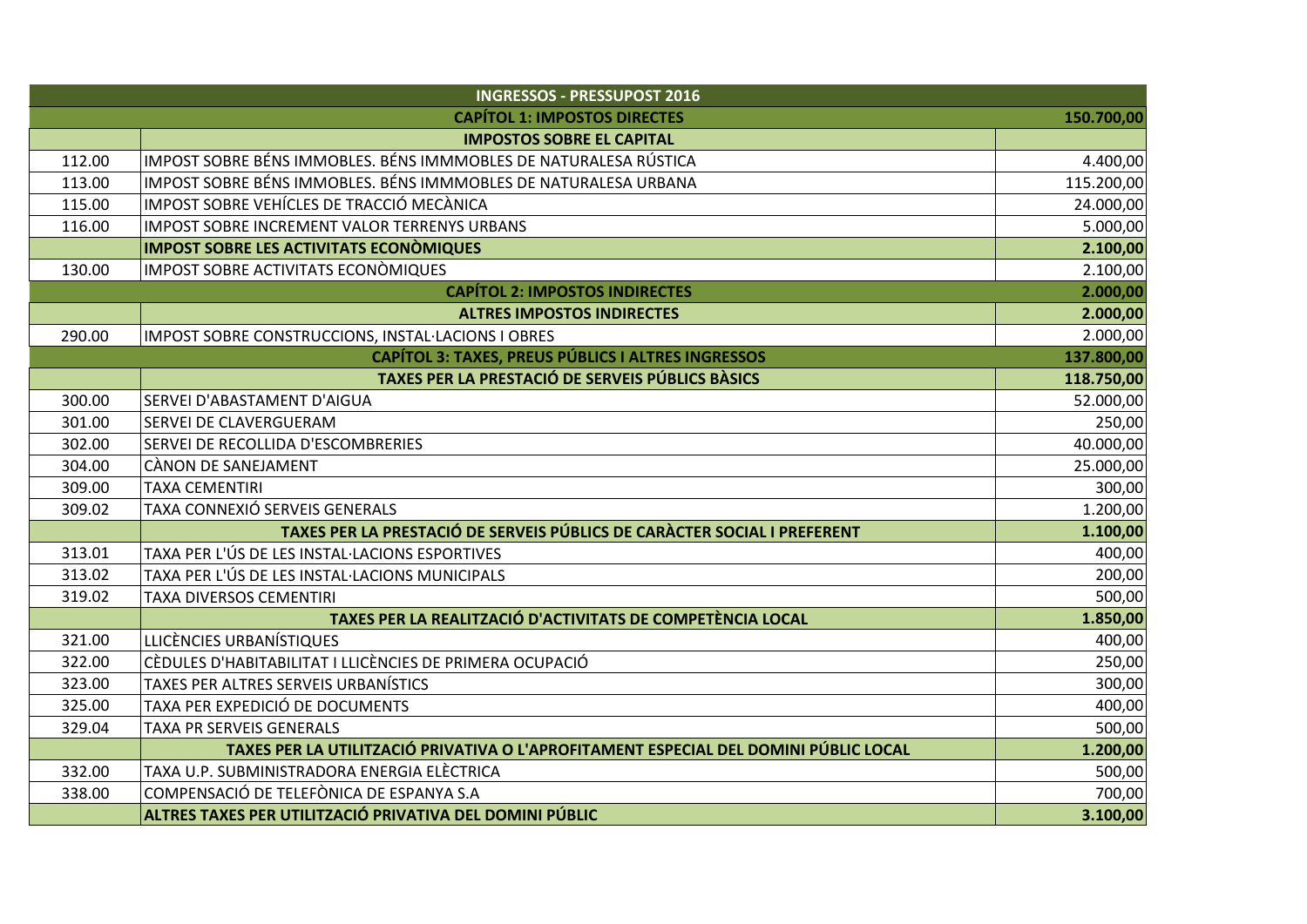| <b>INGRESSOS - PRESSUPOST 2016</b>                                      |                                                                                      |            |  |
|-------------------------------------------------------------------------|--------------------------------------------------------------------------------------|------------|--|
| <b>CAPÍTOL 1: IMPOSTOS DIRECTES</b><br>150.700,00                       |                                                                                      |            |  |
|                                                                         | <b>IMPOSTOS SOBRE EL CAPITAL</b>                                                     |            |  |
| 112.00                                                                  | IMPOST SOBRE BÉNS IMMOBLES. BÉNS IMMMOBLES DE NATURALESA RÚSTICA                     | 4.400,00   |  |
| 113.00                                                                  | IMPOST SOBRE BÉNS IMMOBLES. BÉNS IMMMOBLES DE NATURALESA URBANA                      | 115.200,00 |  |
| 115.00                                                                  | IMPOST SOBRE VEHÍCLES DE TRACCIÓ MECÀNICA                                            | 24.000,00  |  |
| 116.00                                                                  | <b>IMPOST SOBRE INCREMENT VALOR TERRENYS URBANS</b>                                  | 5.000,00   |  |
|                                                                         | <b>IMPOST SOBRE LES ACTIVITATS ECONÒMIQUES</b>                                       | 2.100,00   |  |
| 130.00                                                                  | <b>IMPOST SOBRE ACTIVITATS ECONÒMIQUES</b>                                           | 2.100,00   |  |
| 2.000,00<br><b>CAPÍTOL 2: IMPOSTOS INDIRECTES</b>                       |                                                                                      |            |  |
|                                                                         | <b>ALTRES IMPOSTOS INDIRECTES</b>                                                    | 2.000,00   |  |
| 290.00                                                                  | IMPOST SOBRE CONSTRUCCIONS, INSTAL·LACIONS I OBRES                                   | 2.000,00   |  |
| <b>CAPÍTOL 3: TAXES, PREUS PÚBLICS I ALTRES INGRESSOS</b><br>137.800,00 |                                                                                      |            |  |
|                                                                         | TAXES PER LA PRESTACIÓ DE SERVEIS PÚBLICS BÀSICS                                     | 118.750,00 |  |
| 300.00                                                                  | SERVEI D'ABASTAMENT D'AIGUA                                                          | 52.000,00  |  |
| 301.00                                                                  | SERVEI DE CLAVERGUERAM                                                               | 250,00     |  |
| 302.00                                                                  | SERVEI DE RECOLLIDA D'ESCOMBRERIES                                                   | 40.000,00  |  |
| 304.00                                                                  | CÀNON DE SANEJAMENT                                                                  | 25.000,00  |  |
| 309.00                                                                  | <b>TAXA CEMENTIRI</b>                                                                | 300,00     |  |
| 309.02                                                                  | TAXA CONNEXIÓ SERVEIS GENERALS                                                       | 1.200,00   |  |
|                                                                         | TAXES PER LA PRESTACIÓ DE SERVEIS PÚBLICS DE CARÀCTER SOCIAL I PREFERENT             | 1.100,00   |  |
| 313.01                                                                  | TAXA PER L'ÚS DE LES INSTAL·LACIONS ESPORTIVES                                       | 400,00     |  |
| 313.02                                                                  | TAXA PER L'ÚS DE LES INSTAL·LACIONS MUNICIPALS                                       | 200,00     |  |
| 319.02                                                                  | TAXA DIVERSOS CEMENTIRI                                                              | 500,00     |  |
|                                                                         | TAXES PER LA REALITZACIÓ D'ACTIVITATS DE COMPETÈNCIA LOCAL                           | 1.850,00   |  |
| 321.00                                                                  | LLICÈNCIES URBANÍSTIQUES                                                             | 400,00     |  |
| 322.00                                                                  | CÈDULES D'HABITABILITAT I LLICÈNCIES DE PRIMERA OCUPACIÓ                             | 250,00     |  |
| 323.00                                                                  | TAXES PER ALTRES SERVEIS URBANÍSTICS                                                 | 300,00     |  |
| 325.00                                                                  | TAXA PER EXPEDICIÓ DE DOCUMENTS                                                      | 400,00     |  |
| 329.04                                                                  | <b>TAXA PR SERVEIS GENERALS</b>                                                      | 500,00     |  |
|                                                                         | TAXES PER LA UTILITZACIÓ PRIVATIVA O L'APROFITAMENT ESPECIAL DEL DOMINI PÚBLIC LOCAL | 1.200,00   |  |
| 332.00                                                                  | TAXA U.P. SUBMINISTRADORA ENERGIA ELÈCTRICA                                          | 500,00     |  |
| 338.00                                                                  | COMPENSACIÓ DE TELEFÒNICA DE ESPANYA S.A                                             | 700,00     |  |
|                                                                         | ALTRES TAXES PER UTILITZACIÓ PRIVATIVA DEL DOMINI PÚBLIC                             | 3.100,00   |  |